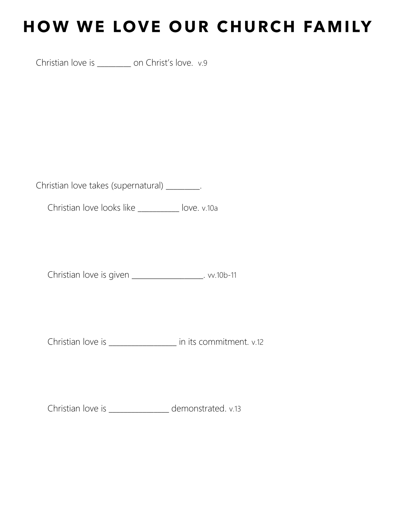## HOW WE LOVE OUR CHURCH FAMILY

Christian love is \_\_\_\_\_\_\_\_\_ on Christ's love. v.9

Christian love takes (supernatural) \_\_\_\_\_\_\_\_\_.

Christian love looks like \_\_\_\_\_\_\_\_\_\_\_ love. v.10a

Christian love is given \_\_\_\_\_\_\_\_\_\_\_\_\_\_\_\_\_\_\_. vv.10b-11

Christian love is \_\_\_\_\_\_\_\_\_\_\_\_\_\_\_\_\_\_ in its commitment. v.12

Christian love is \_\_\_\_\_\_\_\_\_\_\_\_\_\_\_\_ demonstrated. v.13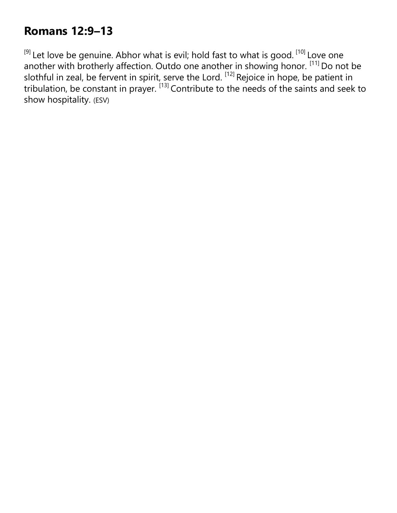## **Romans 12:9–13**

<sup>[9]</sup> Let love be genuine. Abhor what is evil; hold fast to what is good. <sup>[10]</sup> Love one another with brotherly affection. Outdo one another in showing honor. [11] Do not be slothful in zeal, be fervent in spirit, serve the Lord.  $^{[12]}$  Rejoice in hope, be patient in tribulation, be constant in prayer. [13] Contribute to the needs of the saints and seek to show hospitality. (ESV)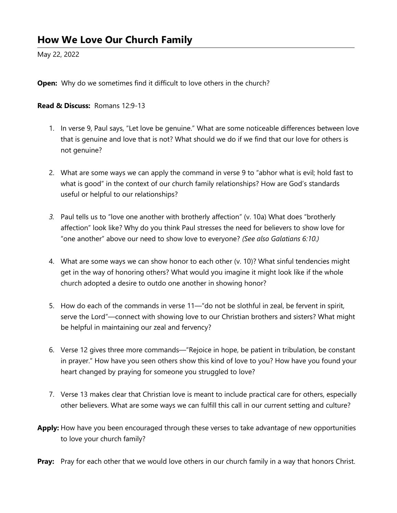May 22, 2022

**Open:** Why do we sometimes find it difficult to love others in the church?

## Read & Discuss: Romans 12:9-13

- 1. In verse 9, Paul says, "Let love be genuine." What are some noticeable differences between love that is genuine and love that is not? What should we do if we find that our love for others is not genuine?
- 2. What are some ways we can apply the command in verse 9 to "abhor what is evil; hold fast to what is good" in the context of our church family relationships? How are God's standards useful or helpful to our relationships?
- 3. Paul tells us to "love one another with brotherly affection" (v. 10a) What does "brotherly affection" look like? Why do you think Paul stresses the need for believers to show love for "one another" above our need to show love to everyone? (See also Galatians 6:10.)
- 4. What are some ways we can show honor to each other (v. 10)? What sinful tendencies might get in the way of honoring others? What would you imagine it might look like if the whole church adopted a desire to outdo one another in showing honor?
- 5. How do each of the commands in verse 11—"do not be slothful in zeal, be fervent in spirit, serve the Lord"—connect with showing love to our Christian brothers and sisters? What might be helpful in maintaining our zeal and fervency?
- 6. Verse 12 gives three more commands—"Rejoice in hope, be patient in tribulation, be constant in prayer." How have you seen others show this kind of love to you? How have you found your heart changed by praying for someone you struggled to love?
- 7. Verse 13 makes clear that Christian love is meant to include practical care for others, especially other believers. What are some ways we can fulfill this call in our current setting and culture?
- Apply: How have you been encouraged through these verses to take advantage of new opportunities to love your church family?
- **Pray:** Pray for each other that we would love others in our church family in a way that honors Christ.